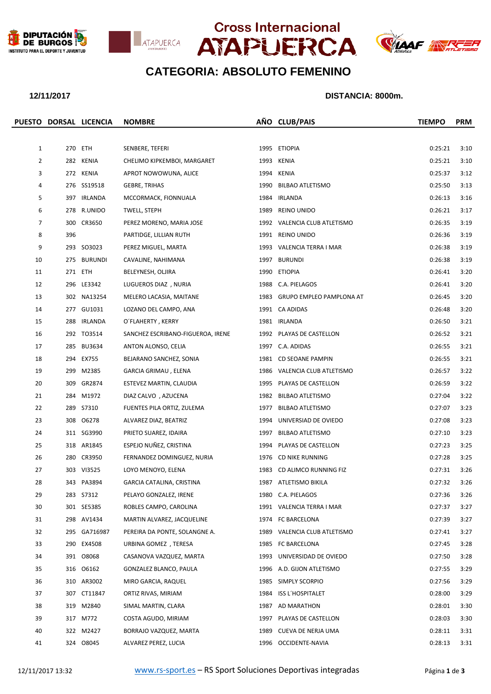







## **CATEGORIA: ABSOLUTO FEMENINO**

### **12/11/2017 DISTANCIA: 8000m.**

|                |     | PUESTO DORSAL LICENCIA | <b>NOMBRE</b>                     |      | AÑO CLUB/PAIS                 | <b>TIEMPO</b> | <b>PRM</b> |
|----------------|-----|------------------------|-----------------------------------|------|-------------------------------|---------------|------------|
|                |     |                        |                                   |      |                               |               |            |
| $\mathbf{1}$   |     | 270 ETH                | SENBERE, TEFERI                   |      | 1995 ETIOPIA                  | 0:25:21       | 3:10       |
| $\overline{2}$ |     | 282 KENIA              | CHELIMO KIPKEMBOI, MARGARET       |      | 1993 KENIA                    | 0:25:21       | 3:10       |
| 3              |     | 272 KENIA              | APROT NOWOWUNA, ALICE             |      | 1994 KENIA                    | 0:25:37       | 3:12       |
| 4              |     | 276 SS19518            | <b>GEBRE, TRIHAS</b>              |      | 1990 BILBAO ATLETISMO         | 0:25:50       | 3:13       |
| 5              |     | 397 IRLANDA            | MCCORMACK, FIONNUALA              | 1984 | IRLANDA                       | 0:26:13       | 3:16       |
| 6              |     | 278 R.UNIDO            | TWELL, STEPH                      | 1989 | REINO UNIDO                   | 0:26:21       | 3:17       |
| 7              |     | 300 CR3650             | PEREZ MORENO, MARIA JOSE          |      | 1992 VALENCIA CLUB ATLETISMO  | 0:26:35       | 3:19       |
| 8              | 396 |                        | PARTIDGE, LILLIAN RUTH            |      | 1991 REINO UNIDO              | 0:26:36       | 3:19       |
| 9              |     | 293 SO3023             | PEREZ MIGUEL, MARTA               |      | 1993 VALENCIA TERRA I MAR     | 0:26:38       | 3:19       |
| 10             |     | 275 BURUNDI            | CAVALINE, NAHIMANA                |      | 1997 BURUNDI                  | 0:26:38       | 3:19       |
| 11             |     | 271 ETH                | BELEYNESH, OLJIRA                 |      | 1990 ETIOPIA                  | 0:26:41       | 3:20       |
| 12             |     | 296 LE3342             | LUGUEROS DIAZ, NURIA              |      | 1988 C.A. PIELAGOS            | 0:26:41       | 3:20       |
| 13             |     | 302 NA13254            | MELERO LACASIA, MAITANE           |      | 1983 GRUPO EMPLEO PAMPLONA AT | 0:26:45       | 3:20       |
| 14             |     | 277 GU1031             | LOZANO DEL CAMPO, ANA             |      | 1991 CA ADIDAS                | 0:26:48       | 3:20       |
| 15             |     | 288 IRLANDA            | O'FLAHERTY, KERRY                 |      | 1981 IRLANDA                  | 0:26:50       | 3:21       |
| 16             |     | 292 TO3514             | SANCHEZ ESCRIBANO-FIGUEROA, IRENE |      | 1992 PLAYAS DE CASTELLON      | 0:26:52       | 3:21       |
| 17             |     | 285 BU3634             | ANTON ALONSO, CELIA               |      | 1997 C.A. ADIDAS              | 0:26:55       | 3:21       |
| 18             |     | 294 EX755              | BEJARANO SANCHEZ, SONIA           |      | 1981 CD SEOANE PAMPIN         | 0:26:55       | 3:21       |
| 19             |     | 299 M2385              | GARCIA GRIMAU, ELENA              |      | 1986 VALENCIA CLUB ATLETISMO  | 0:26:57       | 3:22       |
| 20             |     | 309 GR2874             | ESTEVEZ MARTIN, CLAUDIA           |      | 1995 PLAYAS DE CASTELLON      | 0:26:59       | 3:22       |
| 21             |     | 284 M1972              | DIAZ CALVO, AZUCENA               |      | 1982 BILBAO ATLETISMO         | 0:27:04       | 3:22       |
| 22             |     | 289 S7310              | FUENTES PILA ORTIZ, ZULEMA        | 1977 | <b>BILBAO ATLETISMO</b>       | 0:27:07       | 3:23       |
| 23             |     | 308 06278              | ALVAREZ DIAZ, BEATRIZ             | 1994 | UNIVERSIAD DE OVIEDO          | 0:27:08       | 3:23       |
| 24             |     | 311 SG3990             | PRIETO SUAREZ, IDAIRA             |      | 1997 BILBAO ATLETISMO         | 0:27:10       | 3:23       |
| 25             |     | 318 AR1845             | ESPEJO NUÑEZ, CRISTINA            |      | 1994 PLAYAS DE CASTELLON      | 0:27:23       | 3:25       |
| 26             |     | 280 CR3950             | FERNANDEZ DOMINGUEZ, NURIA        | 1976 | CD NIKE RUNNING               | 0:27:28       | 3:25       |
| 27             |     | 303 VI3525             | LOYO MENOYO, ELENA                |      | 1983 CD ALIMCO RUNNING FIZ    | 0:27:31       | 3:26       |
| 28             |     | 343 PA3894             | GARCIA CATALINA, CRISTINA         |      | 1987 ATLETISMO BIKILA         | 0:27:32       | 3:26       |
| 29             |     |                        | PELAYO GONZALEZ, IRENE            |      | 1980 C.A. PIELAGOS            | 0:27:36       | 3:26       |
| 30             |     | 301 SE5385             | ROBLES CAMPO, CAROLINA            |      | 1991 VALENCIA TERRA I MAR     | 0:27:37       | 3:27       |
| 31             |     | 298 AV1434             | MARTIN ALVAREZ, JACQUELINE        |      | 1974 FC BARCELONA             | 0:27:39       | 3:27       |
| 32             |     | 295 GA716987           | PEREIRA DA PONTE, SOLANGNE A.     | 1989 | VALENCIA CLUB ATLETISMO       | 0:27:41       | 3:27       |
| 33             |     | 290 EX4508             | URBINA GOMEZ, TERESA              | 1985 | FC BARCELONA                  | 0:27:45       | 3:28       |
| 34             |     | 391 08068              | CASANOVA VAZQUEZ, MARTA           | 1993 | UNIVERSIDAD DE OVIEDO         | 0:27:50       | 3:28       |
| 35             |     | 316 06162              | GONZALEZ BLANCO, PAULA            | 1996 | A.D. GIJON ATLETISMO          | 0:27:55       | 3:29       |
| 36             |     | 310 AR3002             | MIRO GARCIA, RAQUEL               | 1985 | SIMPLY SCORPIO                | 0:27:56       | 3:29       |
| 37             |     | 307 CT11847            | ORTIZ RIVAS, MIRIAM               | 1984 | ISS L'HOSPITALET              | 0:28:00       | 3:29       |
| 38             |     | 319 M2840              | SIMAL MARTIN, CLARA               | 1987 | AD MARATHON                   | 0:28:01       | 3:30       |
| 39             |     | 317 M772               | COSTA AGUDO, MIRIAM               | 1997 | PLAYAS DE CASTELLON           | 0:28:03       | 3:30       |
| 40             |     | 322 M2427              | BORRAJO VAZQUEZ, MARTA            | 1989 | CUEVA DE NERJA UMA            | 0:28:11       | 3:31       |
| 41             |     | 324 08045              | ALVAREZ PEREZ, LUCIA              |      | 1996 OCCIDENTE-NAVIA          | 0:28:13       | 3:31       |
|                |     |                        |                                   |      |                               |               |            |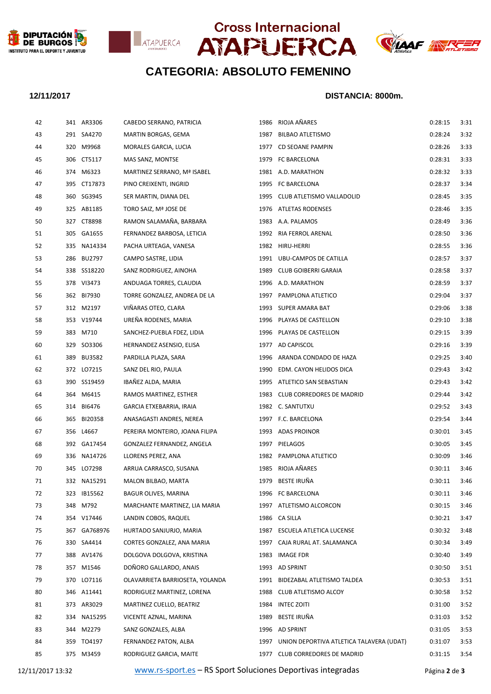







# **CATEGORIA: ABSOLUTO FEMENINO**

### **12/11/2017 DISTANCIA: 8000m.**

| 42 | 341 AR3306   | CABEDO SERRANO, PATRICIA        | 1986 | RIOJA AÑARES                                  | 0:28:15 | 3:31 |
|----|--------------|---------------------------------|------|-----------------------------------------------|---------|------|
| 43 | 291 SA4270   | MARTIN BORGAS, GEMA             | 1987 | <b>BILBAO ATLETISMO</b>                       | 0:28:24 | 3:32 |
| 44 | 320 M9968    | MORALES GARCIA, LUCIA           |      | 1977 CD SEOANE PAMPIN                         | 0:28:26 | 3:33 |
| 45 | 306 CT5117   | MAS SANZ, MONTSE                |      | 1979 FC BARCELONA                             | 0:28:31 | 3:33 |
| 46 | 374 M6323    | MARTINEZ SERRANO, Mª ISABEL     |      | 1981 A.D. MARATHON                            | 0:28:32 | 3:33 |
| 47 | 395 CT17873  | PINO CREIXENTI, INGRID          |      | 1995 FC BARCELONA                             | 0:28:37 | 3:34 |
| 48 | 360 SG3945   | SER MARTIN, DIANA DEL           |      | 1995 CLUB ATLETISMO VALLADOLID                | 0:28:45 | 3:35 |
| 49 | 325 AB1185   | TORO SAIZ, Mª JOSE DE           |      | 1976 ATLETAS RODENSES                         | 0:28:46 | 3:35 |
| 50 | 327 CT8898   | RAMON SALAMAÑA, BARBARA         | 1983 | A.A. PALAMOS                                  | 0:28:49 | 3:36 |
| 51 | 305 GA1655   | FERNANDEZ BARBOSA, LETICIA      |      | 1992 RIA FERROL ARENAL                        | 0:28:50 | 3:36 |
| 52 | 335 NA14334  | PACHA URTEAGA, VANESA           |      | 1982 HIRU-HERRI                               | 0:28:55 | 3:36 |
| 53 | 286 BU2797   | CAMPO SASTRE, LIDIA             |      | 1991 UBU-CAMPOS DE CATILLA                    | 0:28:57 | 3:37 |
| 54 | 338 SS18220  | SANZ RODRIGUEZ, AINOHA          | 1989 | CLUB GOIBERRI GARAIA                          | 0:28:58 | 3:37 |
| 55 | 378 VI3473   | ANDUAGA TORRES, CLAUDIA         |      | 1996 A.D. MARATHON                            | 0:28:59 | 3:37 |
| 56 | 362 BI7930   | TORRE GONZALEZ, ANDREA DE LA    |      | 1997 PAMPLONA ATLETICO                        | 0:29:04 | 3:37 |
| 57 | 312 M2197    | VIÑARAS OTEO, CLARA             | 1993 | SUPER AMARA BAT                               | 0:29:06 | 3:38 |
| 58 | 353 V19744   | UREÑA RODENES, MARIA            | 1996 | PLAYAS DE CASTELLON                           | 0:29:10 | 3:38 |
| 59 | 383 M710     | SANCHEZ-PUEBLA FDEZ, LIDIA      |      | 1996 PLAYAS DE CASTELLON                      | 0:29:15 | 3:39 |
| 60 | 329 SO3306   | HERNANDEZ ASENSIO, ELISA        |      | 1977 AD CAPISCOL                              | 0:29:16 | 3:39 |
| 61 | 389 BU3582   | PARDILLA PLAZA, SARA            | 1996 | ARANDA CONDADO DE HAZA                        | 0:29:25 | 3:40 |
| 62 | 372 LO7215   | SANZ DEL RIO, PAULA             | 1990 | EDM. CAYON HELIDOS DICA                       | 0:29:43 | 3:42 |
| 63 | 390 SS19459  | IBAÑEZ ALDA, MARIA              |      | 1995 ATLETICO SAN SEBASTIAN                   | 0:29:43 | 3:42 |
| 64 | 364 M6415    | RAMOS MARTINEZ, ESTHER          |      | 1983 CLUB CORREDORES DE MADRID                | 0:29:44 | 3:42 |
| 65 | 314 BI6476   | GARCIA ETXEBARRIA, IRAIA        |      | 1982 C. SANTUTXU                              | 0:29:52 | 3:43 |
| 66 | 365 BI20358  | ANASAGASTI ANDRES, NEREA        |      | 1997 F.C. BARCELONA                           | 0:29:54 | 3:44 |
| 67 | 356 L4667    | PEREIRA MONTEIRO, JOANA FILIPA  |      | 1993 ADAS PROINOR                             | 0:30:01 | 3:45 |
| 68 | 392 GA17454  | GONZALEZ FERNANDEZ, ANGELA      |      | 1997 PIELAGOS                                 | 0:30:05 | 3:45 |
| 69 | 336 NA14726  | LLORENS PEREZ, ANA              |      | 1982 PAMPLONA ATLETICO                        | 0:30:09 | 3:46 |
| 70 | 345 LO7298   | ARRUA CARRASCO, SUSANA          |      | 1985 RIOJA AÑARES                             | 0:30:11 | 3:46 |
| 71 | 332 NA15291  | MALON BILBAO, MARTA             |      | 1979 BESTE IRUÑA                              | 0:30:11 | 3:46 |
| 72 | 323 IB15562  | BAGUR OLIVES, MARINA            |      | 1996 FC BARCELONA                             | 0:30:11 | 3:46 |
| 73 | 348 M792     | MARCHANTE MARTINEZ, LIA MARIA   | 1997 | ATLETISMO ALCORCON                            | 0:30:15 | 3:46 |
| 74 | 354 V17446   | LANDIN COBOS, RAQUEL            |      | 1986 CA SILLA                                 | 0:30:21 | 3:47 |
| 75 | 367 GA768976 | HURTADO SANJURJO, MARIA         | 1987 | ESCUELA ATLETICA LUCENSE                      | 0:30:32 | 3:48 |
| 76 | 330 SA4414   | CORTES GONZALEZ, ANA MARIA      |      | 1997 CAJA RURAL AT. SALAMANCA                 | 0:30:34 | 3:49 |
| 77 | 388 AV1476   | DOLGOVA DOLGOVA, KRISTINA       |      | 1983 IMAGE FDR                                | 0:30:40 | 3:49 |
| 78 | 357 M1546    | DOÑORO GALLARDO, ANAIS          |      | 1993 AD SPRINT                                | 0:30:50 | 3:51 |
| 79 | 370 LO7116   | OLAVARRIETA BARRIOSETA, YOLANDA |      | 1991 BIDEZABAL ATLETISMO TALDEA               | 0:30:53 | 3:51 |
| 80 | 346 A11441   | RODRIGUEZ MARTINEZ, LORENA      |      | 1988 CLUB ATLETISMO ALCOY                     | 0:30:58 | 3:52 |
| 81 | 373 AR3029   | MARTINEZ CUELLO, BEATRIZ        |      | 1984 INTEC ZOITI                              | 0:31:00 | 3:52 |
| 82 | 334 NA15295  | VICENTE AZNAL, MARINA           | 1989 | BESTE IRUÑA                                   | 0:31:03 | 3:52 |
| 83 | 344 M2279    | SANZ GONZALES, ALBA             |      | 1996 AD SPRINT                                | 0:31:05 | 3:53 |
| 84 | 359 TO4197   | FERNANDEZ PATON, ALBA           |      | 1997 UNION DEPORTIVA ATLETICA TALAVERA (UDAT) | 0:31:07 | 3:53 |
| 85 | 375 M3459    | RODRIGUEZ GARCIA, MAITE         |      | 1977 CLUB CORREDORES DE MADRID                | 0:31:15 | 3:54 |
|    |              |                                 |      |                                               |         |      |